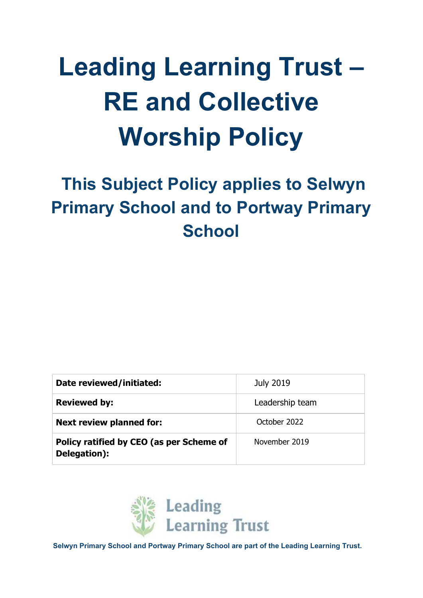# **Leading Learning Trust – RE and Collective Worship Policy**

# **This Subject Policy applies to Selwyn Primary School and to Portway Primary School**

| Date reviewed/initiated:                                 | <b>July 2019</b> |
|----------------------------------------------------------|------------------|
| <b>Reviewed by:</b>                                      | Leadership team  |
| <b>Next review planned for:</b>                          | October 2022     |
| Policy ratified by CEO (as per Scheme of<br>Delegation): | November 2019    |



**Selwyn Primary School and Portway Primary School are part of the Leading Learning Trust.**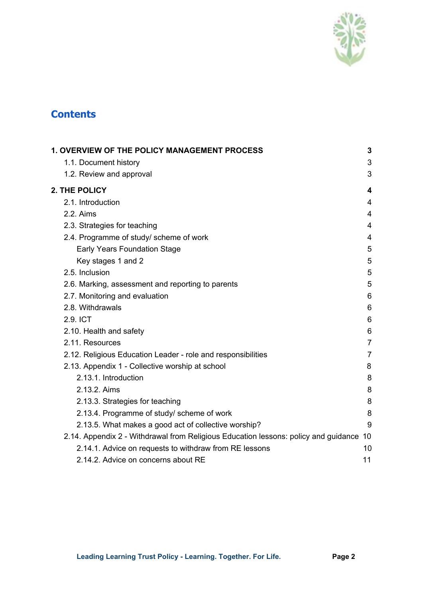

### **Contents**

| 1. OVERVIEW OF THE POLICY MANAGEMENT PROCESS                                        |                |
|-------------------------------------------------------------------------------------|----------------|
| 1.1. Document history                                                               | 3              |
| 1.2. Review and approval                                                            | 3              |
| <b>2. THE POLICY</b>                                                                | 4              |
| 2.1. Introduction                                                                   | $\overline{4}$ |
| 2.2. Aims                                                                           | $\overline{4}$ |
| 2.3. Strategies for teaching                                                        | $\overline{4}$ |
| 2.4. Programme of study/ scheme of work                                             | 4              |
| <b>Early Years Foundation Stage</b>                                                 | 5              |
| Key stages 1 and 2                                                                  | 5              |
| 2.5. Inclusion                                                                      | 5              |
| 2.6. Marking, assessment and reporting to parents                                   | 5              |
| 2.7. Monitoring and evaluation                                                      | 6              |
| 2.8. Withdrawals                                                                    | 6              |
| 2.9. ICT                                                                            | 6              |
| 2.10. Health and safety                                                             | 6              |
| 2.11. Resources                                                                     | $\overline{7}$ |
| 2.12. Religious Education Leader - role and responsibilities                        | $\overline{7}$ |
| 2.13. Appendix 1 - Collective worship at school                                     | 8              |
| 2.13.1. Introduction                                                                | 8              |
| 2.13.2. Aims                                                                        | 8              |
| 2.13.3. Strategies for teaching                                                     | 8              |
| 2.13.4. Programme of study/ scheme of work                                          | 8              |
| 2.13.5. What makes a good act of collective worship?                                | 9              |
| 2.14. Appendix 2 - Withdrawal from Religious Education lessons: policy and guidance | 10             |
| 2.14.1. Advice on requests to withdraw from RE lessons                              | 10             |
| 2.14.2. Advice on concerns about RE                                                 | 11             |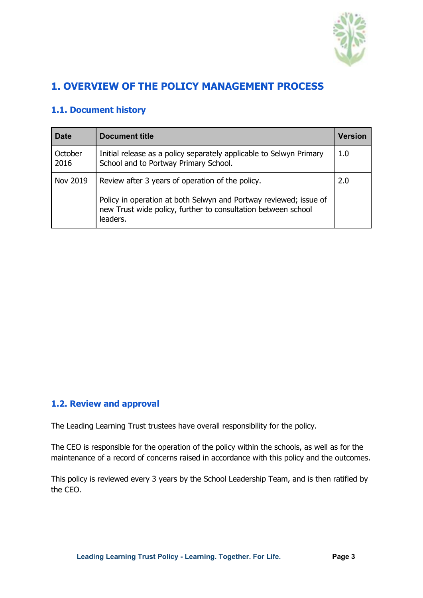

## <span id="page-2-0"></span>**1. OVERVIEW OF THE POLICY MANAGEMENT PROCESS**

#### <span id="page-2-1"></span>**1.1. Document history**

| <b>Date</b>     | <b>Document title</b>                                                                                                                          | Version |
|-----------------|------------------------------------------------------------------------------------------------------------------------------------------------|---------|
| October<br>2016 | Initial release as a policy separately applicable to Selwyn Primary<br>School and to Portway Primary School.                                   | 1.0     |
| <b>Nov 2019</b> | Review after 3 years of operation of the policy.                                                                                               | 2.0     |
|                 | Policy in operation at both Selwyn and Portway reviewed; issue of<br>new Trust wide policy, further to consultation between school<br>leaders. |         |

#### <span id="page-2-2"></span>**1.2. Review and approval**

The Leading Learning Trust trustees have overall responsibility for the policy.

The CEO is responsible for the operation of the policy within the schools, as well as for the maintenance of a record of concerns raised in accordance with this policy and the outcomes.

This policy is reviewed every 3 years by the School Leadership Team, and is then ratified by the CEO.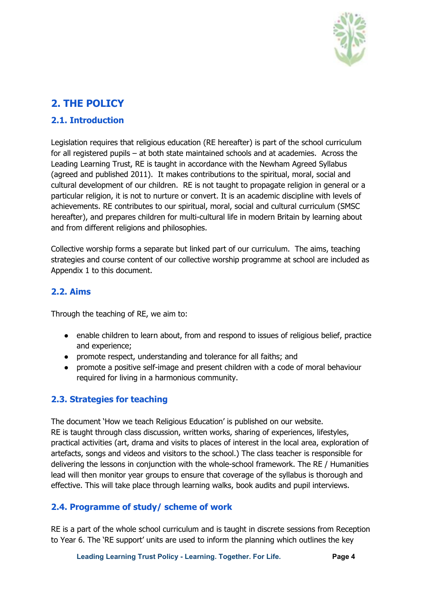

# <span id="page-3-0"></span>**2. THE POLICY**

#### <span id="page-3-1"></span>**2.1. Introduction**

Legislation requires that religious education (RE hereafter) is part of the school curriculum for all registered pupils – at both state maintained schools and at academies. Across the Leading Learning Trust, RE is taught in accordance with the Newham Agreed Syllabus (agreed and published 2011). It makes contributions to the spiritual, moral, social and cultural development of our children. RE is not taught to propagate religion in general or a particular religion, it is not to nurture or convert. It is an academic discipline with levels of achievements. RE contributes to our spiritual, moral, social and cultural curriculum (SMSC hereafter), and prepares children for multi-cultural life in modern Britain by learning about and from different religions and philosophies.

Collective worship forms a separate but linked part of our curriculum. The aims, teaching strategies and course content of our collective worship programme at school are included as Appendix 1 to this document.

#### <span id="page-3-2"></span>**2.2. Aims**

Through the teaching of RE, we aim to:

- enable children to learn about, from and respond to issues of religious belief, practice and experience;
- promote respect, understanding and tolerance for all faiths; and
- promote a positive self-image and present children with a code of moral behaviour required for living in a harmonious community.

#### <span id="page-3-3"></span>**2.3. Strategies for teaching**

The document 'How we teach Religious Education' is published on our website. RE is taught through class discussion, written works, sharing of experiences, lifestyles, practical activities (art, drama and visits to places of interest in the local area, exploration of artefacts, songs and videos and visitors to the school.) The class teacher is responsible for delivering the lessons in conjunction with the whole-school framework. The RE / Humanities lead will then monitor year groups to ensure that coverage of the syllabus is thorough and effective. This will take place through learning walks, book audits and pupil interviews.

#### <span id="page-3-4"></span>**2.4. Programme of study/ scheme of work**

RE is a part of the whole school curriculum and is taught in discrete sessions from Reception to Year 6. The 'RE support' units are used to inform the planning which outlines the key

**Leading Learning Trust Policy - Learning. Together. For Life. Page 4**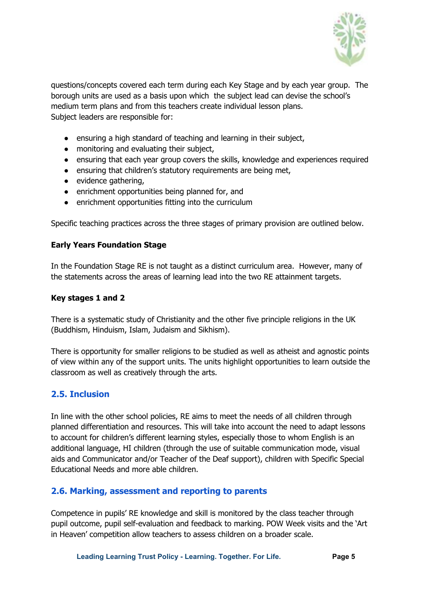

questions/concepts covered each term during each Key Stage and by each year group. The borough units are used as a basis upon which the subject lead can devise the school's medium term plans and from this teachers create individual lesson plans. Subject leaders are responsible for:

- ensuring a high standard of teaching and learning in their subject,
- monitoring and evaluating their subject,
- ensuring that each year group covers the skills, knowledge and experiences required
- ensuring that children's statutory requirements are being met,
- evidence gathering,
- enrichment opportunities being planned for, and
- enrichment opportunities fitting into the curriculum

Specific teaching practices across the three stages of primary provision are outlined below.

#### <span id="page-4-0"></span>**Early Years Foundation Stage**

In the Foundation Stage RE is not taught as a distinct curriculum area. However, many of the statements across the areas of learning lead into the two RE attainment targets.

#### <span id="page-4-1"></span>**Key stages 1 and 2**

There is a systematic study of Christianity and the other five principle religions in the UK (Buddhism, Hinduism, Islam, Judaism and Sikhism).

There is opportunity for smaller religions to be studied as well as atheist and agnostic points of view within any of the support units. The units highlight opportunities to learn outside the classroom as well as creatively through the arts.

#### <span id="page-4-2"></span>**2.5. Inclusion**

In line with the other school policies, RE aims to meet the needs of all children through planned differentiation and resources. This will take into account the need to adapt lessons to account for children's different learning styles, especially those to whom English is an additional language, HI children (through the use of suitable communication mode, visual aids and Communicator and/or Teacher of the Deaf support), children with Specific Special Educational Needs and more able children.

#### <span id="page-4-3"></span>**2.6. Marking, assessment and reporting to parents**

Competence in pupils' RE knowledge and skill is monitored by the class teacher through pupil outcome, pupil self-evaluation and feedback to marking. POW Week visits and the 'Art in Heaven' competition allow teachers to assess children on a broader scale.

**Leading Learning Trust Policy - Learning. Together. For Life. Page 5**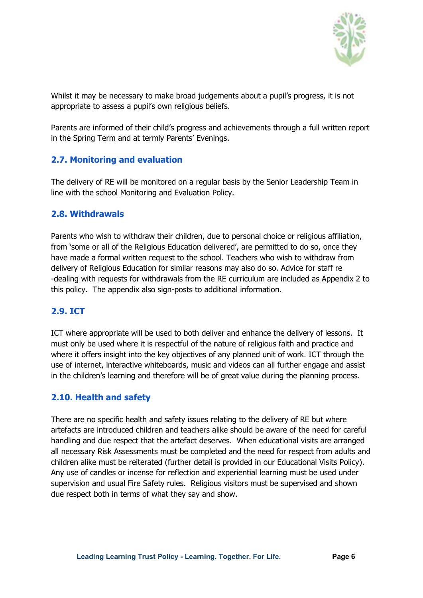

Whilst it may be necessary to make broad judgements about a pupil's progress, it is not appropriate to assess a pupil's own religious beliefs.

Parents are informed of their child's progress and achievements through a full written report in the Spring Term and at termly Parents' Evenings.

#### <span id="page-5-0"></span>**2.7. Monitoring and evaluation**

The delivery of RE will be monitored on a regular basis by the Senior Leadership Team in line with the school Monitoring and Evaluation Policy.

#### <span id="page-5-1"></span>**2.8. Withdrawals**

Parents who wish to withdraw their children, due to personal choice or religious affiliation, from 'some or all of the Religious Education delivered', are permitted to do so, once they have made a formal written request to the school. Teachers who wish to withdraw from delivery of Religious Education for similar reasons may also do so. Advice for staff re -dealing with requests for withdrawals from the RE curriculum are included as Appendix 2 to this policy. The appendix also sign-posts to additional information.

#### <span id="page-5-2"></span>**2.9. ICT**

ICT where appropriate will be used to both deliver and enhance the delivery of lessons. It must only be used where it is respectful of the nature of religious faith and practice and where it offers insight into the key objectives of any planned unit of work. ICT through the use of internet, interactive whiteboards, music and videos can all further engage and assist in the children's learning and therefore will be of great value during the planning process.

#### <span id="page-5-3"></span>**2.10. Health and safety**

There are no specific health and safety issues relating to the delivery of RE but where artefacts are introduced children and teachers alike should be aware of the need for careful handling and due respect that the artefact deserves. When educational visits are arranged all necessary Risk Assessments must be completed and the need for respect from adults and children alike must be reiterated (further detail is provided in our Educational Visits Policy). Any use of candles or incense for reflection and experiential learning must be used under supervision and usual Fire Safety rules. Religious visitors must be supervised and shown due respect both in terms of what they say and show.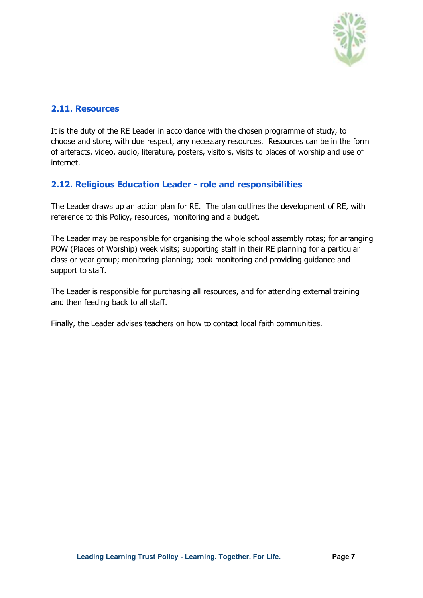

#### <span id="page-6-0"></span>**2.11. Resources**

It is the duty of the RE Leader in accordance with the chosen programme of study, to choose and store, with due respect, any necessary resources. Resources can be in the form of artefacts, video, audio, literature, posters, visitors, visits to places of worship and use of internet.

#### <span id="page-6-1"></span>**2.12. Religious Education Leader - role and responsibilities**

The Leader draws up an action plan for RE. The plan outlines the development of RE, with reference to this Policy, resources, monitoring and a budget.

The Leader may be responsible for organising the whole school assembly rotas; for arranging POW (Places of Worship) week visits; supporting staff in their RE planning for a particular class or year group; monitoring planning; book monitoring and providing guidance and support to staff.

The Leader is responsible for purchasing all resources, and for attending external training and then feeding back to all staff.

Finally, the Leader advises teachers on how to contact local faith communities.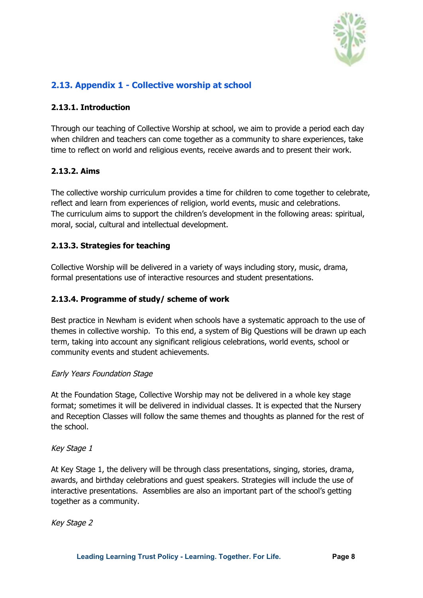

#### <span id="page-7-0"></span>**2.13. Appendix 1 - Collective worship at school**

#### <span id="page-7-1"></span>**2.13.1. Introduction**

Through our teaching of Collective Worship at school, we aim to provide a period each day when children and teachers can come together as a community to share experiences, take time to reflect on world and religious events, receive awards and to present their work.

#### <span id="page-7-2"></span>**2.13.2. Aims**

The collective worship curriculum provides a time for children to come together to celebrate, reflect and learn from experiences of religion, world events, music and celebrations. The curriculum aims to support the children's development in the following areas: spiritual, moral, social, cultural and intellectual development.

#### <span id="page-7-3"></span>**2.13.3. Strategies for teaching**

Collective Worship will be delivered in a variety of ways including story, music, drama, formal presentations use of interactive resources and student presentations.

#### <span id="page-7-4"></span>**2.13.4. Programme of study/ scheme of work**

Best practice in Newham is evident when schools have a systematic approach to the use of themes in collective worship. To this end, a system of Big Questions will be drawn up each term, taking into account any significant religious celebrations, world events, school or community events and student achievements.

#### Early Years Foundation Stage

At the Foundation Stage, Collective Worship may not be delivered in a whole key stage format; sometimes it will be delivered in individual classes. It is expected that the Nursery and Reception Classes will follow the same themes and thoughts as planned for the rest of the school.

#### Key Stage 1

At Key Stage 1, the delivery will be through class presentations, singing, stories, drama, awards, and birthday celebrations and guest speakers. Strategies will include the use of interactive presentations. Assemblies are also an important part of the school's getting together as a community.

#### Key Stage 2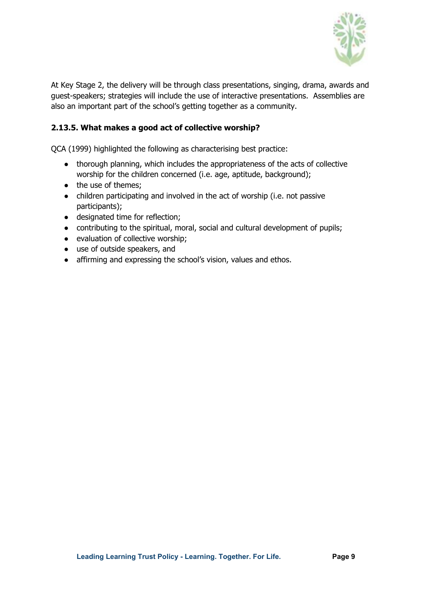

At Key Stage 2, the delivery will be through class presentations, singing, drama, awards and guest-speakers; strategies will include the use of interactive presentations. Assemblies are also an important part of the school's getting together as a community.

#### <span id="page-8-0"></span>**2.13.5. What makes a good act of collective worship?**

QCA (1999) highlighted the following as characterising best practice:

- thorough planning, which includes the appropriateness of the acts of collective worship for the children concerned (i.e. age, aptitude, background);
- the use of themes;
- children participating and involved in the act of worship (i.e. not passive participants);
- designated time for reflection;
- contributing to the spiritual, moral, social and cultural development of pupils;
- evaluation of collective worship;
- use of outside speakers, and
- affirming and expressing the school's vision, values and ethos.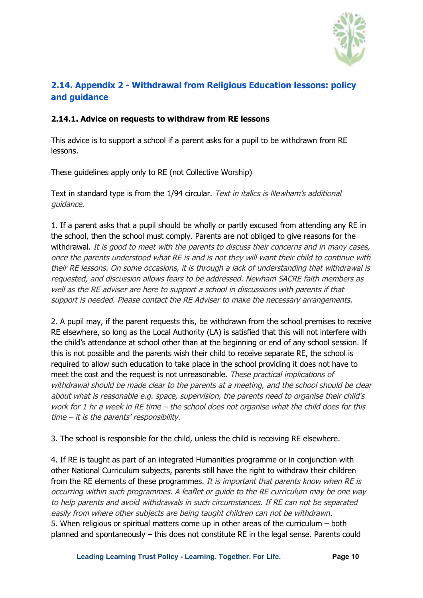

#### <span id="page-9-0"></span>**2.14. Appendix 2 - Withdrawal from Religious Education lessons: policy and guidance**

#### <span id="page-9-1"></span>**2.14.1. Advice on requests to withdraw from RE lessons**

This advice is to support a school if a parent asks for a pupil to be withdrawn from RE lessons.

These guidelines apply only to RE (not Collective Worship)

Text in standard type is from the 1/94 circular. Text in italics is Newham's additional guidance.

1. If a parent asks that a pupil should be wholly or partly excused from attending any RE in the school, then the school must comply. Parents are not obliged to give reasons for the withdrawal. It is good to meet with the parents to discuss their concerns and in many cases, once the parents understood what RE is and is not they will want their child to continue with their RE lessons. On some occasions, it is through <sup>a</sup> lack of understanding that withdrawal is requested, and discussion allows fears to be addressed. Newham SACRE faith members as well as the RE adviser are here to support <sup>a</sup> school in discussions with parents if that support is needed. Please contact the RE Adviser to make the necessary arrangements.

2. A pupil may, if the parent requests this, be withdrawn from the school premises to receive RE elsewhere, so long as the Local Authority (LA) is satisfied that this will not interfere with the child's attendance at school other than at the beginning or end of any school session. If this is not possible and the parents wish their child to receive separate RE, the school is required to allow such education to take place in the school providing it does not have to meet the cost and the request is not unreasonable. These practical implications of withdrawal should be made clear to the parents at <sup>a</sup> meeting, and the school should be clear about what is reasonable e.g. space, supervision, the parents need to organise their child's work for 1 hr <sup>a</sup> week in RE time – the school does not organise what the child does for this time – it is the parents' responsibility.

3. The school is responsible for the child, unless the child is receiving RE elsewhere.

4. If RE is taught as part of an integrated Humanities programme or in conjunction with other National Curriculum subjects, parents still have the right to withdraw their children from the RE elements of these programmes. It is important that parents know when RE is occurring within such programmes. A leaflet or guide to the RE curriculum may be one way to help parents and avoid withdrawals in such circumstances. If RE can not be separated easily from where other subjects are being taught children can not be withdrawn. 5. When religious or spiritual matters come up in other areas of the curriculum – both planned and spontaneously – this does not constitute RE in the legal sense. Parents could

**Leading Learning Trust Policy - Learning. Together. For Life. Page 10**